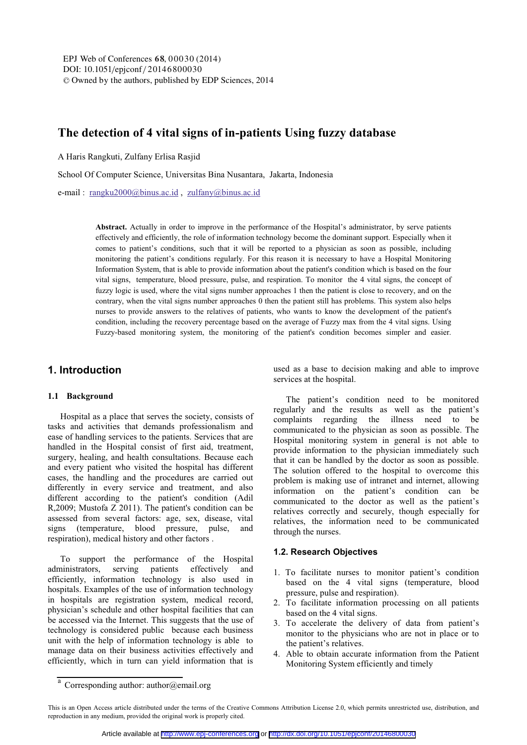# **The detection of 4 vital signs of in-patients Using fuzzy database**

A Haris Rangkuti, Zulfany Erlisa Rasjid

School Of Computer Science, Universitas Bina Nusantara, Jakarta, Indonesia

e-mail : rangku2000@binus.ac.id , zulfany@binus.ac.id

**Abstract.** Actually in order to improve in the performance of the Hospital's administrator, by serve patients effectively and efficiently, the role of information technology become the dominant support. Especially when it comes to patient's conditions, such that it will be reported to a physician as soon as possible, including monitoring the patient's conditions regularly. For this reason it is necessary to have a Hospital Monitoring Information System, that is able to provide information about the patient's condition which is based on the four vital signs, temperature, blood pressure, pulse, and respiration. To monitor the 4 vital signs, the concept of fuzzy logic is used, where the vital signs number approaches 1 then the patient is close to recovery, and on the contrary, when the vital signs number approaches 0 then the patient still has problems. This system also helps nurses to provide answers to the relatives of patients, who wants to know the development of the patient's condition, including the recovery percentage based on the average of Fuzzy max from the 4 vital signs. Using Fuzzy-based monitoring system, the monitoring of the patient's condition becomes simpler and easier.

# **1. Introduction**

#### **1.1 Background**

Hospital as a place that serves the society, consists of tasks and activities that demands professionalism and ease of handling services to the patients. Services that are handled in the Hospital consist of first aid, treatment, surgery, healing, and health consultations. Because each and every patient who visited the hospital has different cases, the handling and the procedures are carried out differently in every service and treatment, and also different according to the patient's condition (Adil R,2009; Mustofa Z 2011). The patient's condition can be assessed from several factors: age, sex, disease, vital signs (temperature, blood pressure, pulse, and respiration), medical history and other factors .

To support the performance of the Hospital administrators, serving patients effectively and efficiently, information technology is also used in hospitals. Examples of the use of information technology in hospitals are registration system, medical record, physician's schedule and other hospital facilities that can be accessed via the Internet. This suggests that the use of technology is considered public because each business unit with the help of information technology is able to manage data on their business activities effectively and efficiently, which in turn can yield information that is

used as a base to decision making and able to improve services at the hospital.

The patient's condition need to be monitored regularly and the results as well as the patient's complaints regarding the illness need to be communicated to the physician as soon as possible. The Hospital monitoring system in general is not able to provide information to the physician immediately such that it can be handled by the doctor as soon as possible. The solution offered to the hospital to overcome this problem is making use of intranet and internet, allowing information on the patient's condition can be communicated to the doctor as well as the patient's relatives correctly and securely, though especially for relatives, the information need to be communicated through the nurses.

### **1.2. Research Objectives**

- 1. To facilitate nurses to monitor patient's condition based on the 4 vital signs (temperature, blood pressure, pulse and respiration).
- 2. To facilitate information processing on all patients based on the 4 vital signs.
- 3. To accelerate the delivery of data from patient's monitor to the physicians who are not in place or to the patient's relatives.
- 4. Able to obtain accurate information from the Patient Monitoring System efficiently and timely

<sup>&</sup>lt;sup>a</sup> Corresponding author: author@email.org

This is an Open Access article distributed under the terms of the Creative Commons Attribution License 2.0, which permits unrestricted use, distribution, and reproduction in any medium, provided the original work is properly cited.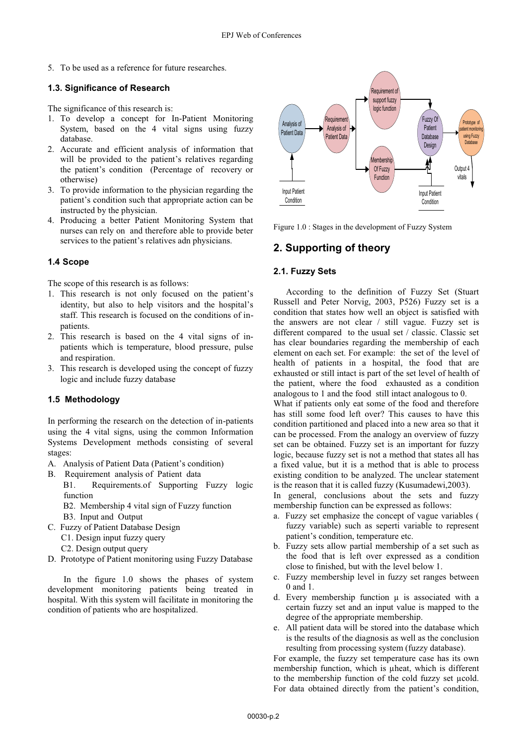5. To be used as a reference for future researches.

## **1.3. Significance of Research**

The significance of this research is:

- 1. To develop a concept for In-Patient Monitoring System, based on the 4 vital signs using fuzzy database.
- 2. Accurate and efficient analysis of information that will be provided to the patient's relatives regarding the patient's condition (Percentage of recovery or otherwise)
- 3. To provide information to the physician regarding the patient's condition such that appropriate action can be instructed by the physician.
- 4. Producing a better Patient Monitoring System that nurses can rely on and therefore able to provide beter services to the patient's relatives adn physicians.

# **1.4Scope**

The scope of this research is as follows:

- 1. This research is not only focused on the patient's identity, but also to help visitors and the hospital's staff. This research is focused on the conditions of inpatients.
- 2. This research is based on the 4 vital signs of inpatients which is temperature, blood pressure, pulse and respiration.
- 3. This research is developed using the concept of fuzzy logic and include fuzzy database

### **1.5 Methodology**

In performing the research on the detection of in-patients using the 4 vital signs, using the common Information Systems Development methods consisting of several stages:

- A. Analysis of Patient Data (Patient's condition)
- B. Requirement analysis of Patient data
	- B1. Requirements.of Supporting Fuzzy logic function
		- B2. Membership 4 vital sign of Fuzzy function
	- B3. Input and Output
- C. Fuzzy of Patient Database Design
	- C1. Design input fuzzy query
	- C2. Design output query
- D. Prototype of Patient monitoring using Fuzzy Database

In the figure 1.0 shows the phases of system development monitoring patients being treated in hospital. With this system will facilitate in monitoring the condition of patients who are hospitalized.



Figure 1.0 : Stages in the development of Fuzzy System

# **2. Supporting of theory**

## **2.1. Fuzzy Sets**

According to the definition of Fuzzy Set (Stuart Russell and Peter Norvig, 2003, P526) Fuzzy set is a condition that states how well an object is satisfied with the answers are not clear / still vague. Fuzzy set is different compared to the usual set / classic. Classic set has clear boundaries regarding the membership of each element on each set. For example: the set of the level of health of patients in a hospital, the food that are exhausted or still intact is part of the set level of health of the patient, where the food exhausted as a condition analogous to 1 and the food still intact analogous to 0. What if patients only eat some of the food and therefore

has still some food left over? This causes to have this condition partitioned and placed into a new area so that it can be processed. From the analogy an overview of fuzzy set can be obtained. Fuzzy set is an important for fuzzy logic, because fuzzy set is not a method that states all has a fixed value, but it is a method that is able to process existing condition to be analyzed. The unclear statement is the reason that it is called fuzzy (Kusumadewi,2003).

In general, conclusions about the sets and fuzzy membership function can be expressed as follows:

- a. Fuzzy set emphasize the concept of vague variables ( fuzzy variable) such as seperti variable to represent patient's condition, temperature etc.
- b. Fuzzy sets allow partial membership of a set such as the food that is left over expressed as a condition close to finished, but with the level below 1.
- c. Fuzzy membership level in fuzzy set ranges between 0 and 1.
- d. Every membership function  $\mu$  is associated with a certain fuzzy set and an input value is mapped to the degree of the appropriate membership.
- e. All patient data will be stored into the database which is the results of the diagnosis as well as the conclusion resulting from processing system (fuzzy database).

For example, the fuzzy set temperature case has its own membership function, which is uheat, which is different to the membership function of the cold fuzzy set µcold. For data obtained directly from the patient's condition,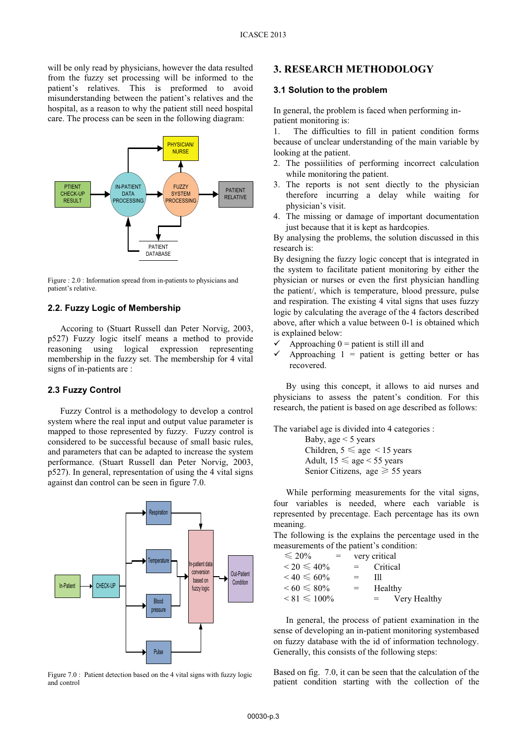will be only read by physicians, however the data resulted from the fuzzy set processing will be informed to the patient's relatives. This is preformed to avoid misunderstanding between the patient's relatives and the hospital, as a reason to why the patient still need hospital care. The process can be seen in the following diagram:



Figure : 2.0 : Information spread from in-patients to physicians and patient's relative.

## **2.2. Fuzzy Logic of Membership**

Accoring to (Stuart Russell dan Peter Norvig, 2003, p527) Fuzzy logic itself means a method to provide reasoning using logical expression representing membership in the fuzzy set. The membership for 4 vital signs of in-patients are :

#### **2.3Fuzzy Control**

Fuzzy Control is a methodology to develop a control system where the real input and output value parameter is mapped to those represented by fuzzy. Fuzzy control is considered to be successful because of small basic rules, and parameters that can be adapted to increase the system performance. (Stuart Russell dan Peter Norvig, 2003, p527). In general, representation of using the 4 vital signs against dan control can be seen in figure 7.0.



Figure 7.0 : Patient detection based on the 4 vital signs with fuzzy logic and control

### **3. RESEARCH METHODOLOGY**

#### **3.1 Solution to the problem**

In general, the problem is faced when performing inpatient monitoring is:

1. The difficulties to fill in patient condition forms because of unclear understanding of the main variable by looking at the patient.

- 2. The possiilities of performing incorrect calculation while monitoring the patient.
- 3. The reports is not sent diectly to the physician therefore incurring a delay while waiting for physician's visit.
- 4. The missing or damage of important documentation just because that it is kept as hardcopies.

By analysing the problems, the solution discussed in this research is:

By designing the fuzzy logic concept that is integrated in the system to facilitate patient monitoring by either the physician or nurses or even the first physician handling the patient/, which is temperature, blood pressure, pulse and respiration. The existing 4 vital signs that uses fuzzy logic by calculating the average of the 4 factors described above, after which a value between 0-1 is obtained which is explained below:

- $\checkmark$ Approaching  $0 =$  patient is still ill and
- $\checkmark$ Approaching  $1 =$  patient is getting better or has recovered.

By using this concept, it allows to aid nurses and physicians to assess the patent's condition. For this research, the patient is based on age described as follows:

The variabel age is divided into 4 categories :

Baby, age  $<$  5 years Children,  $5 \leq$  age  $\leq$  15 years Adult,  $15 \leq$  age < 55 years Senior Citizens, age  $\geq 55$  years

While performing measurements for the vital signs, four variables is needed, where each variable is represented by precentage. Each percentage has its own meaning.

The following is the explains the percentage used in the measurements of the patient's condition:

| $\leq 20\%$          | $=$ |     | very critical       |
|----------------------|-----|-----|---------------------|
| $< 20 \leq 40\%$     |     | $=$ | Critical            |
| $< 40 \le 60\%$      |     | $=$ | Ш                   |
| $\leq 60 \leq 80\%$  |     | $=$ | Healthy             |
| $\leq 81 \leq 100\%$ |     |     | Very Healthy<br>$=$ |

In general, the process of patient examination in the sense of developing an in-patient monitoring systembased on fuzzy database with the id of information technology. Generally, this consists of the following steps:

Based on fig. 7.0, it can be seen that the calculation of the patient condition starting with the collection of the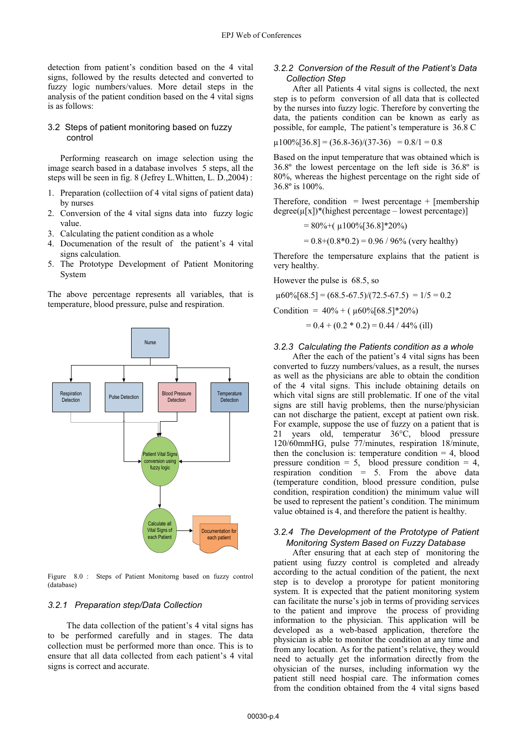detection from patient's condition based on the 4 vital signs, followed by the results detected and converted to fuzzy logic numbers/values. More detail steps in the analysis of the patient condition based on the 4 vital signs is as follows:

#### 3.2 Steps of patient monitoring based on fuzzy control

Performing reasearch on image selection using the image search based in a database involves 5 steps, all the steps will be seen in fig. 8 (Jefrey L.Whitten, L. D.,2004) :

- 1. Preparation (collectiion of 4 vital signs of patient data) by nurses
- 2. Conversion of the 4 vital signs data into fuzzy logic value.
- 3. Calculating the patient condition as a whole
- 4. Documenation of the result of the patient's 4 vital signs calculation.
- 5. The Prototype Development of Patient Monitoring System

The above percentage represents all variables, that is temperature, blood pressure, pulse and respiration.



Figure 8.0 : Steps of Patient Monitorng based on fuzzy control (database)

#### *3.2.1 Preparation step/Data Collection*

The data collection of the patient's 4 vital signs has to be performed carefully and in stages. The data collection must be performed more than once. This is to ensure that all data collected from each patient's 4 vital signs is correct and accurate.

### *3.2.2 Conversion of the Result of the Patient's Data Collection Step*

After all Patients 4 vital signs is collected, the next step is to peform conversion of all data that is collected by the nurses into fuzzy logic. Therefore by converting the data, the patients condition can be known as early as possible, for eample, The patient's temperature is 36.8 C

$$
\mu 100\% [36.8] = (36.8-36)/(37-36) = 0.8/1 = 0.8
$$

Based on the input temperature that was obtained which is 36.8º the lowest percentage on the left side is 36.8º is 80%, whereas the highest percentage on the right side of 36.8º is 100%.

Therefore, condition = lwest percentage + [membership  $degree(\mu[x])$ <sup>\*</sup>(highest percentage – lowest percentage)]

$$
= 80\% + (\mu 100\% [36.8]*20\%)
$$

 $= 0.8+(0.8*0.2) = 0.96 / 96%$  (very healthy)

Therefore the tempersature explains that the patient is very healthy.

However the pulse is 68.5, so

 $\mu$ 60%[68.5] = (68.5-67.5)/(72.5-67.5) = 1/5 = 0.2

Condition =  $40\% + (160\% \times 51*20\%)$ 

 $= 0.4 + (0.2 * 0.2) = 0.44 / 44\%$  (ill)

#### *3.2.3 Calculating the Patients condition as a whole*

After the each of the patient's 4 vital signs has been converted to fuzzy numbers/values, as a result, the nurses as well as the physicians are able to obtain the condition of the 4 vital signs. This include obtaining details on which vital signs are still problematic. If one of the vital signs are still havig problems, then the nurse/physician can not discharge the patient, except at patient own risk. For example, suppose the use of fuzzy on a patient that is 21 years old, temperatur 36°C, blood pressure 120/60mmHG, pulse 77/minutes, respiration 18/minute, then the conclusion is: temperature condition  $= 4$ , blood pressure condition =  $5$ , blood pressure condition =  $4$ , respiration condition = 5. From the above data (temperature condition, blood pressure condition, pulse condition, respiration condition) the minimum value will be used to represent the patient's condition. The minimum value obtained is 4, and therefore the patient is healthy.

### *3.2.4 The Development of the Prototype of Patient Monitoring System Based on Fuzzy Database*

After ensuring that at each step of monitoring the patient using fuzzy control is completed and already according to the actual condition of the patient, the next step is to develop a prorotype for patient monitoring system. It is expected that the patient monitoring system can facilitate the nurse's job in terms of providing services to the patient and improve the process of providing information to the physician. This application will be developed as a web-based application, therefore the physician is able to monitor the condition at any time and from any location. As for the patient's relative, they would need to actually get the information directly from the ohysician of the nurses, including information wy the patient still need hospial care. The information comes from the condition obtained from the 4 vital signs based